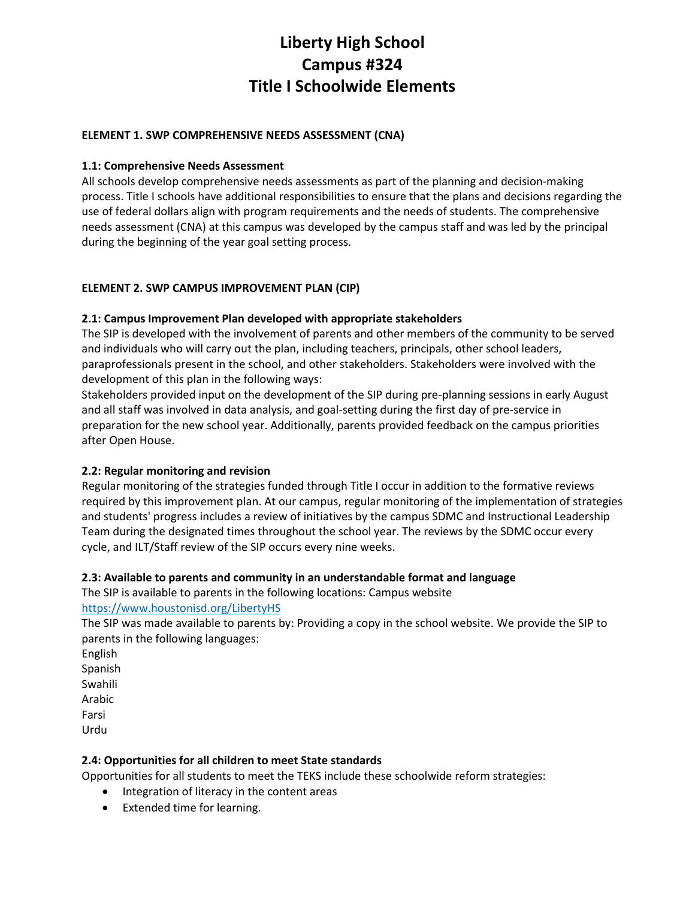# **Liberty High School Campus #324 Title I Schoolwide Elements**

## **ELEMENT 1. SWP COMPREHENSIVE NEEDS ASSESSMENT (CNA)**

## **1.1: Comprehensive Needs Assessment**

All schools develop comprehensive needs assessments as part of the planning and decision-making process. Title I schools have additional responsibilities to ensure that the plans and decisions regarding the use of federal dollars align with program requirements and the needs of students. The comprehensive needs assessment (CNA) at this campus was developed by the campus staff and was led by the principal during the beginning of the year goal setting process.

# **ELEMENT 2. SWP CAMPUS IMPROVEMENT PLAN (CIP)**

# **2.1: Campus Improvement Plan developed with appropriate stakeholders**

The SIP is developed with the involvement of parents and other members of the community to be served and individuals who will carry out the plan, including teachers, principals, other school leaders, paraprofessionals present in the school, and other stakeholders. Stakeholders were involved with the development of this plan in the following ways:

Stakeholders provided input on the development of the SIP during pre-planning sessions in early August and all staff was involved in data analysis, and goal-setting during the first day of pre-service in preparation for the new school year. Additionally, parents provided feedback on the campus priorities after Open House.

#### **2.2: Regular monitoring and revision**

Regular monitoring of the strategies funded through Title I occur in addition to the formative reviews required by this improvement plan. At our campus, regular monitoring of the implementation of strategies and students' progress includes a review of initiatives by the campus SDMC and Instructional Leadership Team during the designated times throughout the school year. The reviews by the SDMC occur every cycle, and ILT/Staff review of the SIP occurs every nine weeks.

#### **2.3: Available to parents and community in an understandable format and language**

The SIP is available to parents in the following locations: Campus website <https://www.houstonisd.org/LibertyHS>

The SIP was made available to parents by: Providing a copy in the school website. We provide the SIP to parents in the following languages:

English Spanish Swahili Arabic Farsi Urdu

#### **2.4: Opportunities for all children to meet State standards**

Opportunities for all students to meet the TEKS include these schoolwide reform strategies:

- Integration of literacy in the content areas
- Extended time for learning.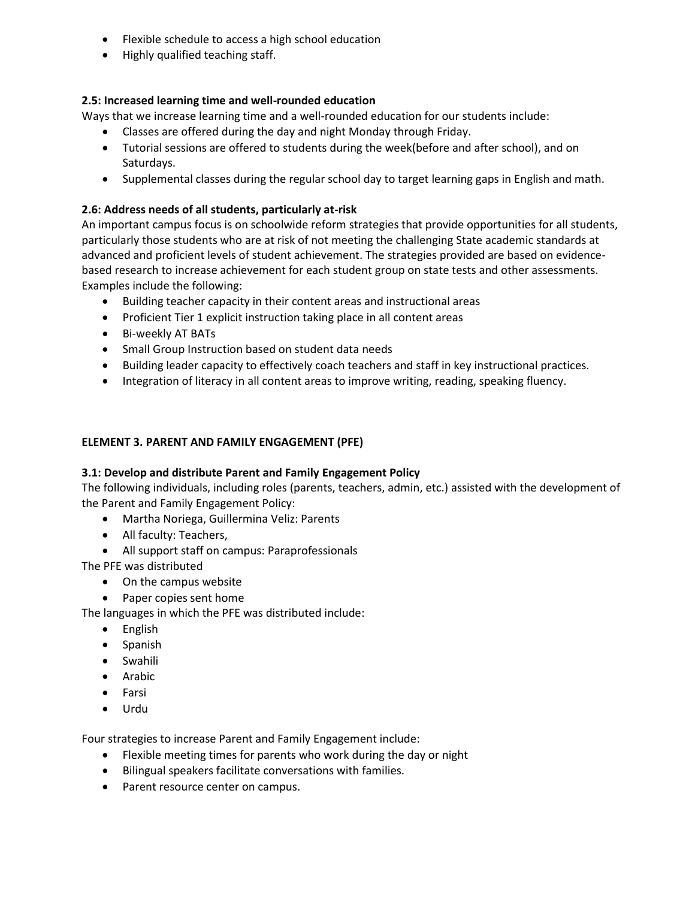- Flexible schedule to access a high school education
- Highly qualified teaching staff.

# **2.5: Increased learning time and well-rounded education**

Ways that we increase learning time and a well-rounded education for our students include:

- Classes are offered during the day and night Monday through Friday.
- Tutorial sessions are offered to students during the week(before and after school), and on Saturdays.
- Supplemental classes during the regular school day to target learning gaps in English and math.

# **2.6: Address needs of all students, particularly at-risk**

An important campus focus is on schoolwide reform strategies that provide opportunities for all students, particularly those students who are at risk of not meeting the challenging State academic standards at advanced and proficient levels of student achievement. The strategies provided are based on evidencebased research to increase achievement for each student group on state tests and other assessments. Examples include the following:

- Building teacher capacity in their content areas and instructional areas
- Proficient Tier 1 explicit instruction taking place in all content areas
- Bi-weekly AT BATs
- Small Group Instruction based on student data needs
- Building leader capacity to effectively coach teachers and staff in key instructional practices.
- Integration of literacy in all content areas to improve writing, reading, speaking fluency.

#### **ELEMENT 3. PARENT AND FAMILY ENGAGEMENT (PFE)**

#### **3.1: Develop and distribute Parent and Family Engagement Policy**

The following individuals, including roles (parents, teachers, admin, etc.) assisted with the development of the Parent and Family Engagement Policy:

- Martha Noriega, Guillermina Veliz: Parents
- All faculty: Teachers,
- All support staff on campus: Paraprofessionals

The PFE was distributed

- On the campus website
- Paper copies sent home

The languages in which the PFE was distributed include:

- English
- Spanish
- Swahili
- Arabic
- Farsi
- Urdu

Four strategies to increase Parent and Family Engagement include:

- Flexible meeting times for parents who work during the day or night
- Bilingual speakers facilitate conversations with families.
- Parent resource center on campus.